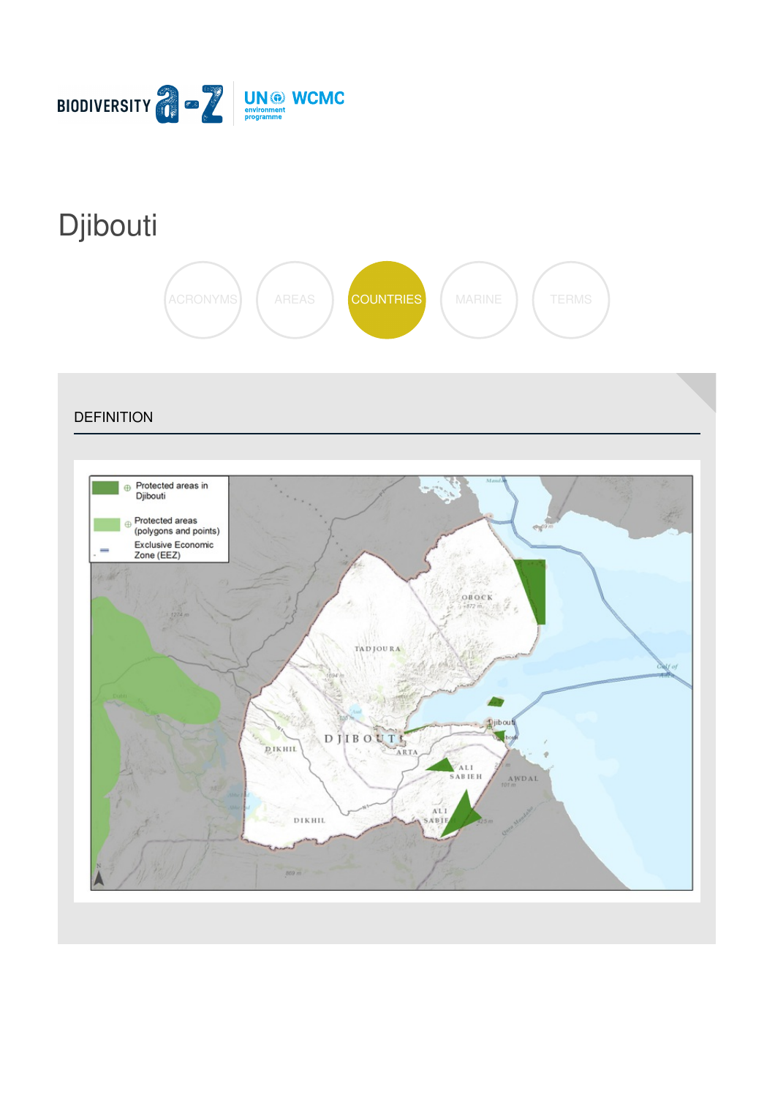

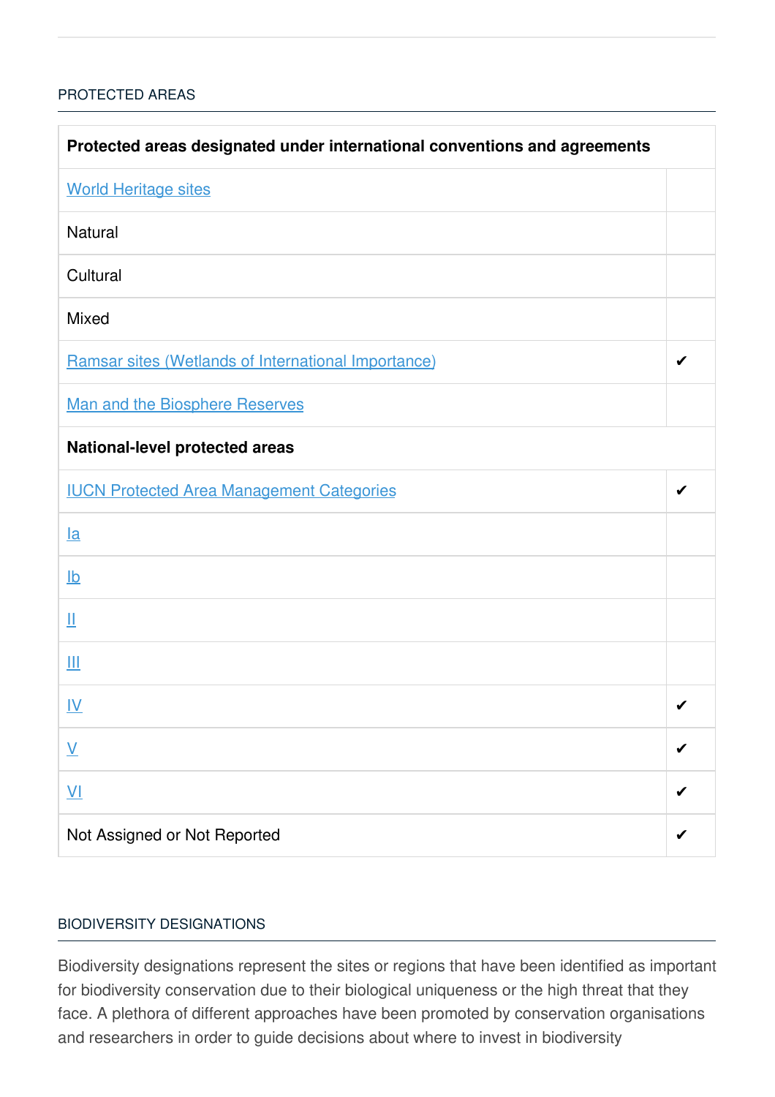## [PROTECTED](javascript:void(0)) AREAS

| Protected areas designated under international conventions and agreements |   |  |
|---------------------------------------------------------------------------|---|--|
| <b>World Heritage sites</b>                                               |   |  |
| <b>Natural</b>                                                            |   |  |
| Cultural                                                                  |   |  |
| <b>Mixed</b>                                                              |   |  |
| Ramsar sites (Wetlands of International Importance)                       | ✔ |  |
| <b>Man and the Biosphere Reserves</b>                                     |   |  |
| <b>National-level protected areas</b>                                     |   |  |
| <b>IUCN Protected Area Management Categories</b>                          | ✔ |  |
| $l$ a                                                                     |   |  |
| $\underline{\mathsf{lb}}$                                                 |   |  |
| Щ                                                                         |   |  |
| Ш                                                                         |   |  |
| <u>IV</u>                                                                 | ✔ |  |
| $\underline{\mathsf{V}}$                                                  |   |  |
| $\underline{V}$                                                           |   |  |
| Not Assigned or Not Reported                                              |   |  |

### BIODIVERSITY [DESIGNATIONS](javascript:void(0))

Biodiversity designations represent the sites or regions that have been identified as important for biodiversity conservation due to their biological uniqueness or the high threat that they face. A plethora of different approaches have been promoted by conservation organisations and researchers in order to guide decisions about where to invest in biodiversity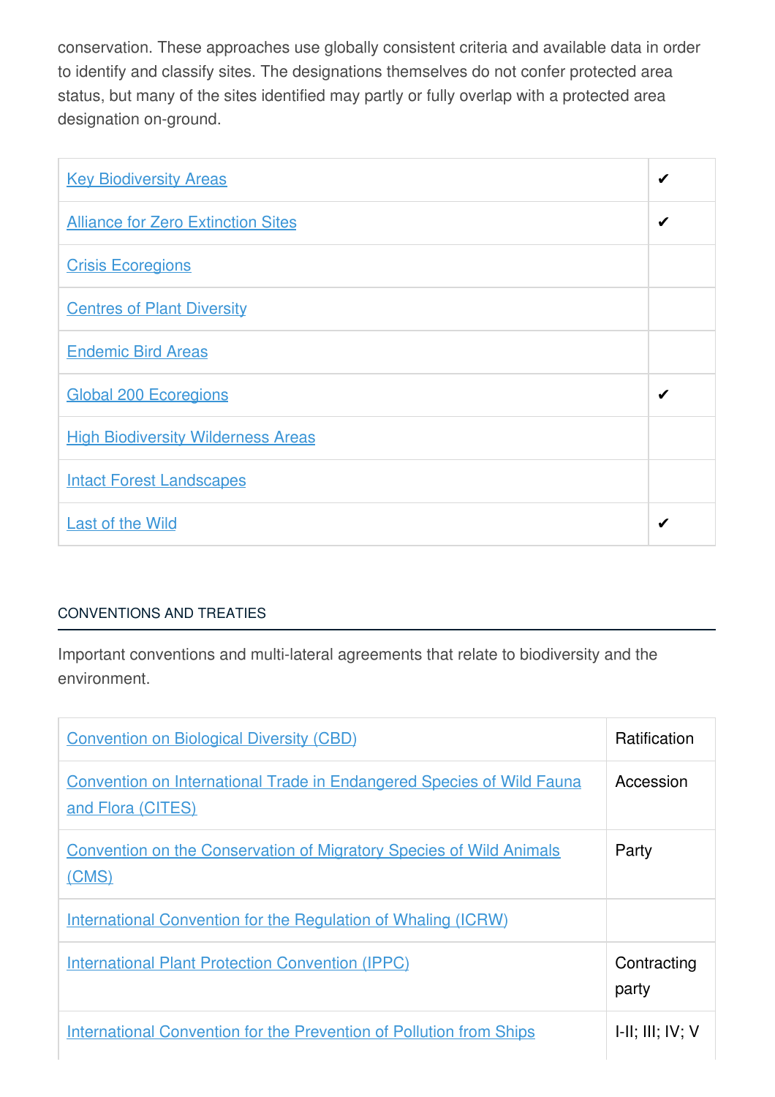conservation. These approaches use globally consistent criteria and available data in order to identify and classify sites. The designations themselves do not confer protected area status, but many of the sites identified may partly or fully overlap with a protected area designation on-ground.

| <b>Key Biodiversity Areas</b>             | ✔ |
|-------------------------------------------|---|
| <b>Alliance for Zero Extinction Sites</b> | ✔ |
| <b>Crisis Ecoregions</b>                  |   |
| <b>Centres of Plant Diversity</b>         |   |
| <b>Endemic Bird Areas</b>                 |   |
| <b>Global 200 Ecoregions</b>              |   |
| <b>High Biodiversity Wilderness Areas</b> |   |
| <b>Intact Forest Landscapes</b>           |   |
| <b>Last of the Wild</b>                   | ✔ |

# [CONVENTIONS](javascript:void(0)) AND TREATIES

Important conventions and multi-lateral agreements that relate to biodiversity and the environment.

| <b>Convention on Biological Diversity (CBD)</b>                                                   | <b>Ratification</b>         |
|---------------------------------------------------------------------------------------------------|-----------------------------|
| <b>Convention on International Trade in Endangered Species of Wild Fauna</b><br>and Flora (CITES) | Accession                   |
| <b>Convention on the Conservation of Migratory Species of Wild Animals</b><br>(CMS)               | Party                       |
| <b>International Convention for the Regulation of Whaling (ICRW)</b>                              |                             |
| <b>International Plant Protection Convention (IPPC)</b>                                           | Contracting<br>party        |
| <b>International Convention for the Prevention of Pollution from Ships</b>                        | $I-II$ ; $III$ ; $IV$ ; $V$ |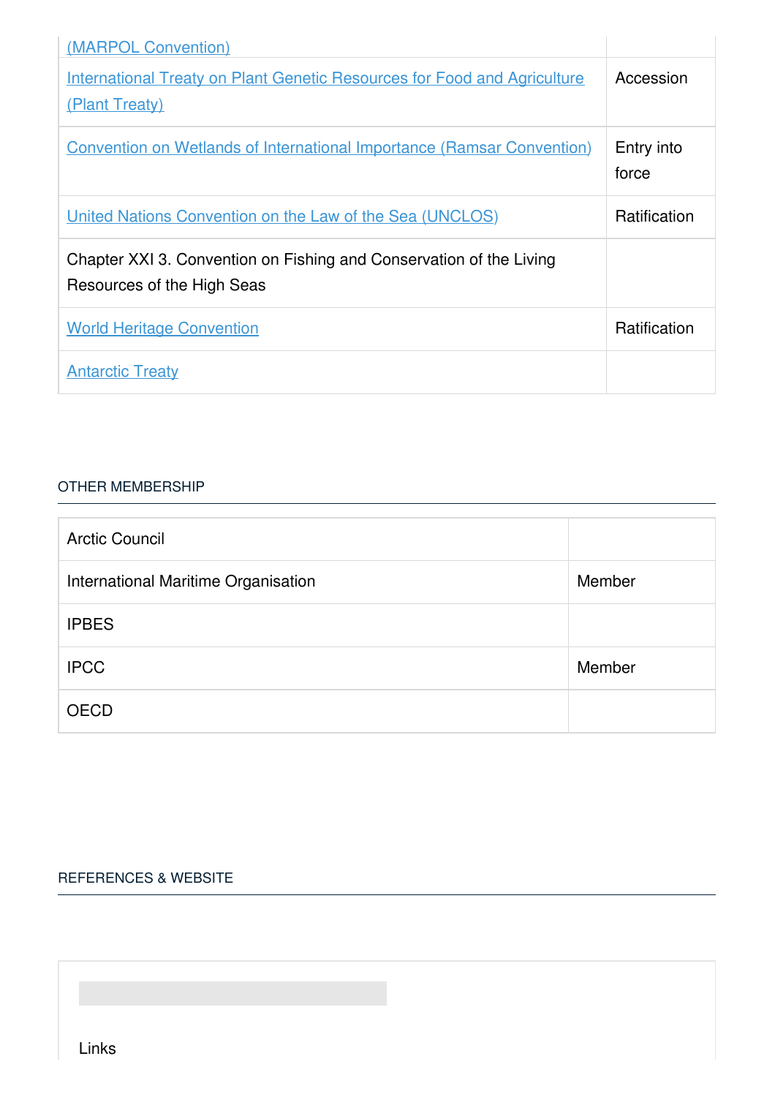| (MARPOL Convention)                                                                               |                     |
|---------------------------------------------------------------------------------------------------|---------------------|
| <b>International Treaty on Plant Genetic Resources for Food and Agriculture</b><br>(Plant Treaty) | Accession           |
| <b>Convention on Wetlands of International Importance (Ramsar Convention)</b>                     | Entry into<br>force |
| United Nations Convention on the Law of the Sea (UNCLOS)                                          | <b>Ratification</b> |
| Chapter XXI 3. Convention on Fishing and Conservation of the Living<br>Resources of the High Seas |                     |
| <b>World Heritage Convention</b>                                                                  | Ratification        |
| <b>Antarctic Treaty</b>                                                                           |                     |

#### OTHER [MEMBERSHIP](javascript:void(0))

| <b>Arctic Council</b>               |        |
|-------------------------------------|--------|
| International Maritime Organisation | Member |
| <b>IPBES</b>                        |        |
| <b>IPCC</b>                         | Member |
| <b>OECD</b>                         |        |

### [REFERENCES](javascript:void(0)) & WEBSITE